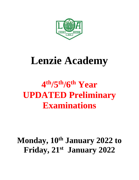

# **Lenzie Academy**

# **4 th/5 th/6th Year UPDATED Preliminary Examinations**

# **Monday, 10th January 2022 to Friday, 21 st January 2022**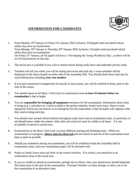

#### **INFORMATION FOR CANDIDATES**

- 1. From Monday 10<sup>th</sup> January to Friday 21st January 2022 inclusive, S5/6pupils need not attend school unless they have an examination. From Monday 10<sup>th</sup> January to Thursday 20<sup>th</sup> January 2022 inclusive, S4 pupils need not attend school unless they have an examination. On Friday 21st January, all S4 pupils will have a 'Developing the Young Workforce Day', so there will be no S4 examinations on that day.
- 2. The social area is available if you wish to attend school during study leave and undertake private study.
- 3. Teachers will tell you where you will be sitting each exam and each day's exam schedule will be displayed on the notice boards on either side of the Assembly Hall. You should check these each day for exam information including **your seat number.**
- 4. If you have assessment arrangements for any/all of your exams, you will be notified of these, prior to the start of the exams.
- 5. You should report to the Boys / Girls Gym or examination room **at least 10 minutes before an examination** is due to begin.
- 6. You are **responsible for bringing all equipment** necessary for the examination. Information about what to bring (e.g. a calculator or a ruler) is noted in the prelim schedule, beside each exam. There is some equipment which you can borrow in an emergency but the expectation is that all pupils will organise what they need to bring each day.
- 7. You should wear normal school uniform throughout study leave and on examination days. In particular, to aid identification within the school, white shirt and school tie must be visible at all times. It is not acceptable to attend in casual wear.
- 8. Examinations in the Boys/ Girls Gym can have different starting and finishing times. While any examination is in progress, **silence must be observed** and movement in and out of the examination room kept as quiet as possible.
- 9. Should you misbehave during an examination, you will be withdrawn from the Assembly Hall or examination room, and your examination paper will be declared void.
- 10. Pupils on Study Leave must not loiter in the school corridors. If in school, you should be in an examination areas or the social area.
- 11. If you are unable to attend an examination, perhaps due to illness, then your parent/carer should telephone the school prior to the start of the examination. Principal Teachers can then arrange, to allow you to sit the examination at an alternative time.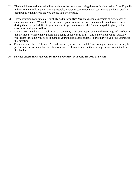- 12. The lunch break and interval will take place at the usual time during the examination period. S1 S3 pupils will continue to follow their normal timetable. However, some exams will start during the lunch break or continue into the interval and you should take note of this.
- 13**.** Please examine your timetable carefully and inform **Miss Munro** as soon as possible of any clashes of examination times. When this occurs, one of your examinations will be moved to an alternative time during the exam period. It is in your interests to get an alternative date/time arranged, to give you the chance to sit all your prelims.
- 14. Some of you may have two prelims on the same day i.e. one subject exam in the morning and another in the afternoon. With so many pupils and a range of subjects to fit in  $-$  this is inevitable. Once you know your exam timetable, you need to manage your studying appropriately - particularly if you find yourself in this situation.
- 15. For some subjects e.g. Music, P.E and Dance you will have a date/time for a practical exam during the prelim schedule or immediately before or after it. Information about these arrangements is contained in this booklet.
- 16. **Normal classes for S4/5/6 will resume on Monday 24th January 2022 at 8.45am.**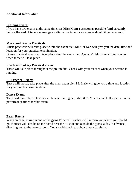#### **Additional Information**

#### **Clashing Exams**

If you have two exams at the same time, see **Miss Munro as soon as possible (and certainly before the end of term**) to arrange an alternative time for an exam – should it be necessary.

#### **Music and Drama Practicals**

Music practicals will take place within the exam diet. Mr McEwan will give you the date, time and location for your practical examination.

Drama practical exams will take place after the exam diet. Again, Mr McEwan will inform you when these will take place.

#### **Practical Cookery Practical exams**

These will take place throughout the prelim diet. Check with your teacher when your session is running.

#### **PE Practical Exams**

These will mostly take place after the main exam diet. Mr Imrie will give you a time and location for your practical examination.

#### **Dance Exams**

These will take place Thursday 20 January during periods 6 & 7. Mrs. Rae will allocate individual performance times for this exam.

#### **Exam Rooms**

When an exam is **not** in one of the gyms Principal Teachers will inform you where you should go. Notices will also be on the board near the PE exit and outside the gyms, a day in advance, directing you to the correct room. You should check each board very carefully.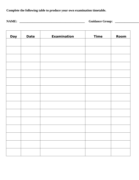**Complete the following table to produce your own examination timetable.**

**NAME: \_\_\_\_\_\_\_\_\_\_\_\_\_\_\_\_\_\_\_\_\_\_\_\_\_\_\_\_\_\_\_\_\_\_\_\_\_\_\_\_\_ Guidance Group: \_\_\_\_\_\_\_\_\_\_\_\_\_\_\_**

| <b>Day</b> | <b>Date</b> | <b>Examination</b> | <b>Time</b> | Room |
|------------|-------------|--------------------|-------------|------|
|            |             |                    |             |      |
|            |             |                    |             |      |
|            |             |                    |             |      |
|            |             |                    |             |      |
|            |             |                    |             |      |
|            |             |                    |             |      |
|            |             |                    |             |      |
|            |             |                    |             |      |
|            |             |                    |             |      |
|            |             |                    |             |      |
|            |             |                    |             |      |
|            |             |                    |             |      |
|            |             |                    |             |      |
|            |             |                    |             |      |
|            |             |                    |             |      |
|            |             |                    |             |      |

<u> 1989 - Johann Stoff, deutscher Stoff als der Stoff als der Stoff als der Stoff als der Stoff als der Stoff als</u>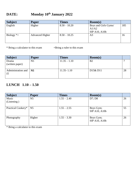# **DATE: Monday 10th January 2022**

| <b>Subject</b> | <b>Paper</b>           | Times          | $\mathbf{Room}(s)$            |     |
|----------------|------------------------|----------------|-------------------------------|-----|
| English        | Higher                 | $8.50 - 10.20$ | Boys and Girls Gyms/<br>A1/A2 | 185 |
|                |                        |                | SfP A10, A10b                 |     |
| Biology $*$ +  | <b>Advanced Higher</b> | $8.50 - 10.25$ | A3                            | 16  |

\* Bring a calculator to this exam +Bring a ruler to this exam

| <b>Subject</b>           | Paper          | <b>Times</b>   | $\mathbf{Room}(s)$                |    |
|--------------------------|----------------|----------------|-----------------------------------|----|
| Drama<br>(written paper) | N <sub>5</sub> | $11.35 - 1.10$ | B <sub>2</sub>                    |    |
| Administration and       | <b>N5</b>      | $11.35 - 1.10$ | D <sub>15</sub> & D <sub>11</sub> | 28 |

## **LUNCH 1.10 – 1.50**

| <b>Subject</b>       | <b>Paper</b>   | <b>Times</b>  | Room(s)                    |    |
|----------------------|----------------|---------------|----------------------------|----|
| Music<br>(Listening) | N <sub>5</sub> | $1.55 - 2.40$ | D7; D8                     | 26 |
| Practical Cookery*   | N <sub>5</sub> | $1.55 - 2.55$ | Boys Gym;<br>SfP A10, A10b | 55 |
| Photography          | Higher         | $1.55 - 3.30$ | Boys Gym;<br>SfP A10, A10b | 26 |

\* Bring a calculator to this exam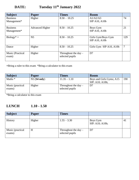# **DATE: Tuesday 11th January 2022**

| <b>Subject</b>            | <b>Paper</b>           | <b>Times</b>                              | <b>Room</b>                         |     |
|---------------------------|------------------------|-------------------------------------------|-------------------------------------|-----|
| <b>Business</b>           | Higher                 | $8.50 - 10.25$                            | A1/A2/A3                            | 74  |
| Management*               |                        |                                           | SfP A10, A10b                       |     |
| <b>Business</b>           | <b>Advanced Higher</b> | $8.50 - 10.25$                            | Boys Gym                            | 21  |
| Management*               |                        |                                           | SfP A10, A10b                       |     |
| $Biology^* +$             | N <sub>5</sub>         | $8.50 - 10.25$                            | Girls Gym/Boys Gym<br>SfP A10, A10b | 129 |
| Dance                     | Higher                 | $8.50 - 10.25$                            | Girls Gym SfP A10, A10b             | 7   |
| Music (Practical<br>exam) | Higher                 | Throughout the day $-$<br>selected pupils | D7                                  |     |

**+**Bring a ruler to this exam \*Bring a calculator to this exam

| <b>Subject</b>   | Paper       | <b>Times</b>           | <b>Room</b>              |     |
|------------------|-------------|------------------------|--------------------------|-----|
| Maths $*$        | N5(S4 only) | $11.35 - 1.10$         | Boys and Girls Gyms; A15 | 190 |
|                  |             |                        | SfP: A10; A10b;          |     |
| Music (practical | Higher      | Throughout the day $-$ | D7                       |     |
| exams)           |             | selected pupils        |                          |     |
|                  |             |                        |                          |     |

\*Bring a calculator to this exam

## **LUNCH 1.10 - 1.50**

| <b>Subject</b>             | Paper  | <b>Times</b>                              |                             |    |
|----------------------------|--------|-------------------------------------------|-----------------------------|----|
|                            |        |                                           |                             |    |
| History                    | Higher | $1.55 - 3.30$                             | Boys Gym<br>SfP: A10; A10b; | 41 |
| Music (practical<br>exams) | H      | Throughout the day $-$<br>selected pupils | D7                          |    |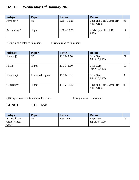# **DATE: Wednesday 12th January 2022**

| <b>Subject</b>         | Paper          | Times          | <b>Room</b>                             |    |
|------------------------|----------------|----------------|-----------------------------------------|----|
| Physics <sup>*</sup> + | N <sub>5</sub> | $8.50 - 10.25$ | Boys and Girls Gyms; SfP:<br>A10; A10b; | 96 |
| Accounting $*$         | Higher         | $8.50 - 10.25$ | Girls Gym; SfP: A10;<br>A10b;           |    |

\*Bring a calculator to this exam. **+**Bring a ruler to this exam

| <b>Subject</b> | <b>Paper</b>           | <b>Times</b>   | <b>Room</b>               |    |
|----------------|------------------------|----------------|---------------------------|----|
| French @       | N <sub>5</sub>         | $11.35 - 1.10$ | Girls Gym                 | 27 |
|                |                        |                | <b>SfP A10, A10b</b>      |    |
|                |                        |                |                           |    |
| <b>RMPS</b>    | Higher                 | $11.35 - 1.10$ | Girls Gym                 | 19 |
|                |                        |                | <b>SfP A10, A10b</b>      |    |
|                |                        |                |                           |    |
| French @       | <b>Advanced Higher</b> | $11.35 - 1.10$ | Girls Gym                 | 3  |
|                |                        |                | <b>SfP A10, A10b</b>      |    |
|                |                        |                |                           |    |
| $Geography+$   | Higher                 | $11.35 - 1.10$ | Boys and Girls Gyms; SfP: | 93 |
|                |                        |                | A10; A10b;                |    |
|                |                        |                |                           |    |

@Bring a French dictionary to this exam +Bring a ruler to this exam

### **LUNCH 1.10 - 1.50**

| <b>Subject</b>        | <b>Paper</b> | <b>Times</b>  | <b>Room</b> |  |
|-----------------------|--------------|---------------|-------------|--|
| <b>Practical Cake</b> | N5           | $1.55 - 2.40$ | Boys Gym    |  |
| Craft (written        |              |               | SfpA10/A10b |  |
| paper)                |              |               |             |  |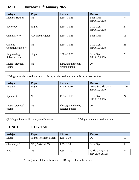| <b>Subject</b>                 | <b>Paper</b>           | <b>Times</b>                             | <b>Room</b>                       |    |
|--------------------------------|------------------------|------------------------------------------|-----------------------------------|----|
| <b>Modern Studies</b>          | N <sub>5</sub>         | $8.50 - 10.25$                           | Boys Gym<br><b>SfP A10, A10b</b>  | 74 |
| Sociology                      | Higher                 | $8.50 - 10.25$                           | Girls Gym<br><b>SfP A10, A10b</b> | 27 |
| Chemistry $*$ +                | <b>Advanced Higher</b> | $8.50 - 10.25$                           | Boys Gym                          | 13 |
| Graphic<br>Communication $*$ + | N <sub>5</sub>         | $8.50 - 10.25$                           | Girls Gym<br><b>SfP A10, A10b</b> | 26 |
| Engineering<br>Science $* + x$ | Higher                 | $8.50 - 10.25$                           | Girls Gym<br><b>SfP A10, A10b</b> | 20 |
| Music (practical<br>exams)     | N <sub>5</sub>         | Throughout the day $-$<br>elected pupils | D7                                |    |

## **DATE: Thursday 13th January 2022**

\* Bring a calculator to this exam +Bring a ruler to this exam x Bring a data booklet

| <b>Subject</b>             | Paper          | <b>Times</b>                              | <b>Room</b>                              |     |
|----------------------------|----------------|-------------------------------------------|------------------------------------------|-----|
| Maths *                    | Higher         | $11.35 - 1.10$                            | Boys & Girls Gym<br><b>SfP A10, A10b</b> | 120 |
| Spanish @                  | N <sub>5</sub> | $11.35 - 1.10$                            | Girls Gym<br><b>SfP A10, A10b</b>        | 24  |
| Music (practical<br>exams) | N <sub>5</sub> | Throughout the day $-$<br>selected pupils | D7                                       |     |

@ Bring a Spanish dictionary to this exam **\***Bring a calculator to this exam

## **LUNCH 1.10 - 1.50**

| <b>Subject</b>  | <b>Paper</b>           | <b>Times</b>  | <b>Room</b>                       |    |
|-----------------|------------------------|---------------|-----------------------------------|----|
| Music           | Higher (Written Paper) | $1.55 - 3.30$ | D9                                | 19 |
| Chemistry $* +$ | N5 (S5/6 ONLY)         | $1.55 - 3.30$ | Girls Gym                         |    |
| P.E.            | N <sub>5</sub>         | $1.55 - 3.30$ | Girls Gym; A15<br>SfP: A10; A10b; | 74 |

\* Bring a calculator to this exam +Bring a ruler to this exam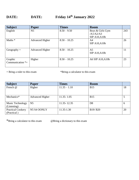# **DATE: DATE: Friday 14th January 2022**

| <b>Subject</b>      | <b>Paper</b>           | <b>Times</b>   | <b>Room</b>          |     |
|---------------------|------------------------|----------------|----------------------|-----|
| English             | N <sub>5</sub>         | $8.50 - 9.50$  | Boys & Girls Gym     | 243 |
|                     |                        |                | /A1/A2/A3            |     |
|                     |                        |                | <b>SfP A10, A10b</b> |     |
| Maths *             | <b>Advanced Higher</b> | $8.50 - 10.25$ | A4                   | 26  |
|                     |                        |                | <b>SfP A10, A10b</b> |     |
|                     |                        |                |                      |     |
| $Geography +$       | <b>Advanced Higher</b> | $8.50 - 10.25$ | A <sub>5</sub>       | 11  |
|                     |                        |                | <b>SfP A10, A10b</b> |     |
|                     |                        |                |                      |     |
| Graphic             | Higher                 | $8.50 - 10.25$ | A6 SfP A10, A10b     | 23  |
| Communication $*$ + |                        |                |                      |     |
|                     |                        |                |                      |     |

+ Bring a ruler to this exam \*Bring a calculator to this exam

| <b>Subject</b>                          | <b>Paper</b>           | <b>Times</b>   | <b>Room</b>    |    |
|-----------------------------------------|------------------------|----------------|----------------|----|
| French @                                | Higher                 | $11.35 - 1.10$ | <b>B15</b>     | 18 |
|                                         |                        |                |                |    |
| Mechanics*                              | <b>Advanced Higher</b> | $11.35 - 1.05$ | <b>B15</b>     |    |
| Music Technology<br>(Listening)         | N <sub>5</sub>         | 11.35 - 12.35  | D <sub>8</sub> | h  |
| <b>Practical Cookery</b><br>(Practical) | N5 S4 OONLY            | 11.35-1.30     | B19/B20        | 20 |

\*Bring a calculator to this exam @Bring a dictionary to this exam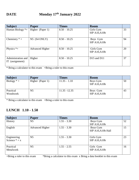# **DATE Monday 17th January 2022**

| <b>Subject</b>                           | <b>Paper</b>           | <b>Times</b>   | <b>Room</b>                       |    |
|------------------------------------------|------------------------|----------------|-----------------------------------|----|
| Human Biology *+                         | Higher (Paper 1)       | $8.50 - 10.25$ | Girls Gym<br><b>SfP A10, A10b</b> | 33 |
| Chemistry $* +$                          | $N5$ (S4 ONLY)         | $8.50 - 10.25$ | Boys Gym<br><b>SfP A10, A10b</b>  | 94 |
| Physics $*$ +                            | <b>Advanced Higher</b> | $8.50 - 10.25$ | Girls Gym<br><b>SfP A10, A10b</b> | 20 |
| Administration and<br>(assignment)<br>IT | Higher                 | $8.50 - 10.25$ | $D15$ and $D11$                   | 37 |

\* Bring a calculator to this exam +Bring a ruler to this exam

| <b>Subject</b>        | <b>Paper</b>     | Times           | <b>Room</b>                      |    |
|-----------------------|------------------|-----------------|----------------------------------|----|
| Biology $* +$         | Higher (Paper 1) | $11.35 - 1.10$  | Boys Gym<br><b>SfP A10, A10b</b> | 50 |
| Practical<br>Woodwork | N <sub>5</sub>   | $11.35 - 12.35$ | Boys Gym<br><b>SfP A10, A10b</b> | 43 |

\* Bring a calculator to this exam +Bring a ruler to this exam

### **LUNCH 1.10 - 1.50**

| <b>Subject</b>  | <b>Paper</b>           | <b>Times</b>  | <b>Room</b>          |    |
|-----------------|------------------------|---------------|----------------------|----|
| <b>History</b>  | N <sub>5</sub>         | $1.55 - 3.30$ | Boys Gym             | 52 |
|                 |                        |               | <b>SfP A10, A10b</b> |    |
| English         | <b>Advanced Higher</b> | $1.55 - 3.30$ | Boys Gym             | 15 |
|                 |                        |               | SfP A10, A10b Hall   |    |
|                 |                        |               |                      |    |
| Engineering     | N <sub>5</sub>         | $1.55 - 3.30$ | Girls Gym            | 23 |
| Science $* + x$ |                        |               | <b>SfP A10, A10b</b> |    |
|                 |                        |               |                      |    |
| Practical       | N <sub>5</sub>         | $1.55 - 2.55$ | Girls Gym            | 16 |
| Metalwork       |                        |               | <b>SfP A10, A10b</b> |    |
|                 |                        |               |                      |    |

+Bring a ruler to this exam \*Bring a calculator to this exam x Bring a data booklet to this exam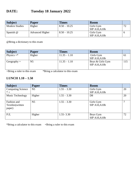## **DATE: Tuesday 18 January 2022**

| <b>Subject</b>        | <b>Paper</b>           | <b>Times</b>   | <b>Room</b>   |  |
|-----------------------|------------------------|----------------|---------------|--|
| <b>Modern Studies</b> | Higher                 | $8.50 - 10.25$ | Girls Gym     |  |
|                       |                        |                | SfP A10, A10b |  |
| Spanish @             | <b>Advanced Higher</b> | $8.50 - 10.25$ | Girls Gym     |  |
|                       |                        |                | SfP A10, A10b |  |

@Bring a dictionary to this exam

| <b>Subject</b> | Paper          | <b>Times</b>   | <b>Room</b>                              |     |
|----------------|----------------|----------------|------------------------------------------|-----|
| Physics $+$ *  | Higher         | $11.35 - 1.10$ | Girls Gym<br><b>SfP A10, A10b</b>        | 61  |
| $Geography +$  | N <sub>5</sub> | $11.35 - 1.10$ | Boys & Girls Gym<br><b>SfP A10, A10b</b> | 115 |

+Bring a ruler to this exam \*Bring a calculator to this exam

#### **LUNCH 1.10 – 1.50**

| <b>Subject</b>           | <b>Paper</b>   | <b>Times</b>  | <b>Room</b>          |    |
|--------------------------|----------------|---------------|----------------------|----|
| <b>Computing Science</b> | N <sub>5</sub> | $1.55 - 3.30$ | Girls Gym            | 20 |
| $* +$                    |                |               | <b>SfP A10, A10b</b> |    |
| Music Technology         | Higher         | $1.55 - 3.30$ | D <sub>8</sub>       | 20 |
|                          |                |               |                      |    |
| Fashion and              | N <sub>5</sub> | $1.55 - 3.30$ | Girls Gym            |    |
| Textiles (written        |                |               | <b>SfP A10, A10b</b> |    |
| paper)                   |                |               |                      |    |
|                          |                |               |                      |    |
| P.E.                     | Higher         | $1.55 - 3.30$ | Boys Gym             | 72 |
|                          |                |               | <b>SfP A10, A10b</b> |    |

\*Bring a calculator to this exam +Bring a ruler to this exam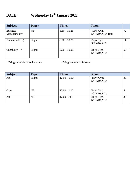# **DATE: Wednesday 19th January 2022**

| <b>Subject</b>                  | Paper          | <b>Times</b>   | <b>Room</b>                      |    |
|---------------------------------|----------------|----------------|----------------------------------|----|
| <b>Business</b><br>Management * | N <sub>5</sub> | $8.50 - 10.25$ | Girls Gym<br>SfP A10, A10b Hall  | 72 |
| Drama (written)                 | Higher         | $8.50 - 10.25$ | Boys Gym<br><b>SfP A10, A10b</b> | 11 |
| Chemistry + $*$                 | Higher         | $8.50 - 10.25$ | Boys Gym<br><b>SfP A10, A10b</b> | 57 |

\* Bring a calculator to this exam +Bring a ruler to this exam

| <b>Subject</b> | <b>Paper</b>   | <b>Times</b>   | <b>Room</b>                      |    |
|----------------|----------------|----------------|----------------------------------|----|
| Art            | Higher         | $12.00 - 1.10$ | Boys Gym<br><b>SfP A10, A10b</b> | 30 |
| Care           | N <sub>5</sub> | $12.00 - 1.10$ | Boys Gym<br><b>SfP A10, A10b</b> |    |
| Art            | N <sub>5</sub> | $12.00 - 1.00$ | Boys Gym<br><b>SfP A10, A10b</b> | 28 |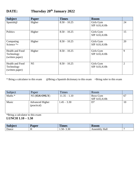# **DATE: Thursday 20th January 2022**

| <b>Subject</b>                                   | Paper          | <b>Times</b>   | <b>Room</b>                       |                |
|--------------------------------------------------|----------------|----------------|-----------------------------------|----------------|
| Spanish@                                         | Higher         | $8.50 - 10.25$ | Girls Gym<br><b>SfP A10, A10b</b> | 24             |
| Politics                                         | Higher         | $8.50 - 10.25$ | Girls Gym<br><b>SfP A10, A10b</b> | 15             |
| Computing<br>Science $*$ +                       | Higher         | $8.50 - 10.25$ | Girls Gym<br><b>SfP A10, A10b</b> | 20             |
| Health and Food<br>Technology<br>(written paper) | Higher         | $8.50 - 10.25$ | Girls Gym<br><b>SfP A10, A10b</b> | 9              |
| Health and Food<br>Technology<br>(written paper) | N <sub>5</sub> | $8.50 - 10.25$ | Girls Gym<br><b>SfP A10, A10b</b> | $\overline{2}$ |

\* Bring a calculator to this exam @Bring a Spanish dictionary to this exam +Bring ruler to this exam

| Subject | Paper                                 | Times          | Room                             |    |
|---------|---------------------------------------|----------------|----------------------------------|----|
| Maths * | N5 (S5/6 ONLY)                        | $11.35 - 1.10$ | Boys Gym<br><b>SfP A10, A10b</b> | 67 |
| Music   | <b>Advanced Higher</b><br>(practical) | $1.45 - 3.30$  | D7                               | 10 |

\*Bring a calculator to this exam

**LUNCH 1.10 – 1.50** 

| <b>Subject</b> | 'aper | <b>TTT</b><br><b>Times</b> | <b>Koom</b>                                      |  |
|----------------|-------|----------------------------|--------------------------------------------------|--|
| Dance          | . .   | 2.20<br>$1.50 - 7$<br>3.3U | <b>ssembly Hall</b><br>—<br>$\sim$ $\sim$ $\sim$ |  |